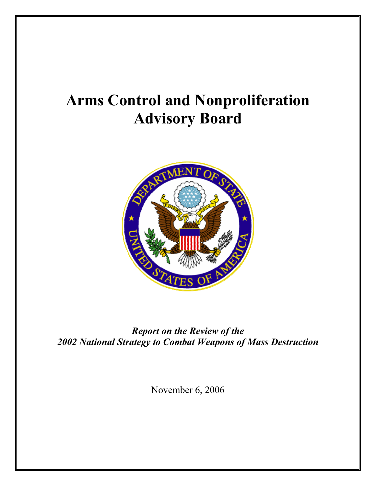# **Arms Control and Nonproliferation Advisory Board**



*Report on the Review of the 2002 National Strategy to Combat Weapons of Mass Destruction* 

November 6, 2006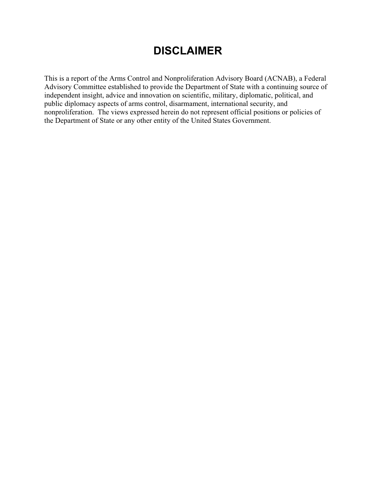# **DISCLAIMER**

This is a report of the Arms Control and Nonproliferation Advisory Board (ACNAB), a Federal Advisory Committee established to provide the Department of State with a continuing source of independent insight, advice and innovation on scientific, military, diplomatic, political, and public diplomacy aspects of arms control, disarmament, international security, and nonproliferation. The views expressed herein do not represent official positions or policies of the Department of State or any other entity of the United States Government.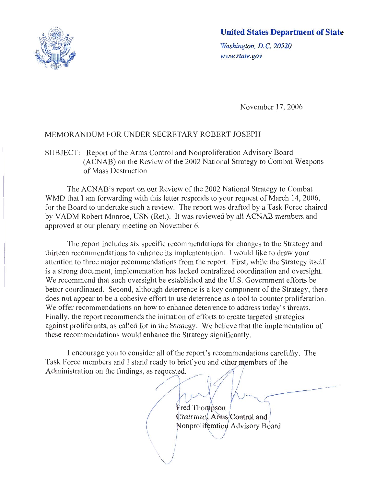

### **United States Department of State**

Washington, D.C. 20520 www.state.gov

November 17, 2006

#### MEMORANDUM FOR UNDER SECRETARY ROBERT JOSEPH

SUBJECT: Report of the Arms Control and Nonproliferation Advisory Board (ACNAB) on the Review of the 2002 National Strategy to Combat Weapons of Mass Destruction

The ACNAB's report on our Review of the 2002 National Strategy to Combat WMD that I am forwarding with this letter responds to your request of March 14, 2006, for the Board to undertake such a review. The report was drafted by a Task Force chaired by VADM Robert Monroe, USN (Ret.). It was reviewed by all ACNAB members and approved at our plenary meeting on November 6.

The report includes six specific recommendations for changes to the Strategy and thirteen recommendations to enhance its implementation. I would like to draw your attention to three major recommendations from the report. First, while the Strategy itself is a strong document, implementation has lacked centralized coordination and oversight. We recommend that such oversight be established and the U.S. Government efforts be better coordinated. Second, although deterrence is a key component of the Strategy, there does not appear to be a cohesive effort to use deterrence as a tool to counter proliferation. We offer recommendations on how to enhance deterrence to address today's threats. Finally, the report recommends the initiation of efforts to create targeted strategies against proliferants, as called for in the Strategy. We believe that the implementation of these recommendations would enhance the Strategy significantly.

I encourage you to consider all of the report's recommendations carefully. The Task Force members and I stand ready to brief you and other members of the Administration on the findings, as requested.

> **Fred Thompson** Chairman, Arms Control and Nonproliferation Advisory Board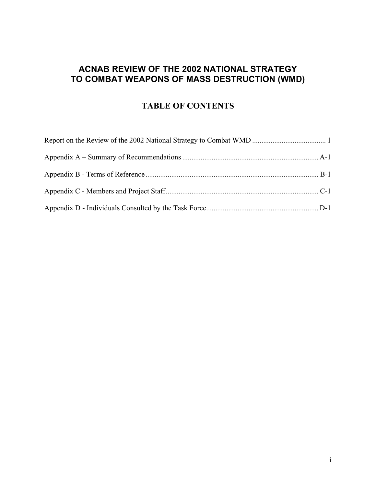### **ACNAB REVIEW OF THE 2002 NATIONAL STRATEGY TO COMBAT WEAPONS OF MASS DESTRUCTION (WMD)**

### **TABLE OF CONTENTS**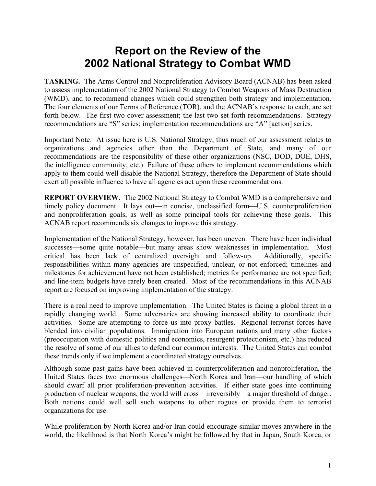# **Report on the Review of the 2002 National Strategy to Combat WMD**

**TASKING.** The Arms Control and Nonproliferation Advisory Board (ACNAB) has been asked to assess implementation of the 2002 National Strategy to Combat Weapons of Mass Destruction (WMD), and to recommend changes which could strengthen both strategy and implementation. The four elements of our Terms of Reference (TOR), and the ACNAB's response to each, are set forth below. The first two cover assessment; the last two set forth recommendations. Strategy recommendations are "S" series; implementation recommendations are "A" [action] series.

Important Note: At issue here is U.S. National Strategy, thus much of our assessment relates to organizations and agencies other than the Department of State, and many of our recommendations are the responsibility of these other organizations (NSC, DOD, DOE, DHS, the intelligence community, etc.) Failure of these others to implement recommendations which apply to them could well disable the National Strategy, therefore the Department of State should exert all possible influence to have all agencies act upon these recommendations.

**REPORT OVERVIEW.** The 2002 National Strategy to Combat WMD is a comprehensive and timely policy document. It lays out—in concise, unclassified form—U.S. counterproliferation and nonproliferation goals, as well as some principal tools for achieving these goals. This ACNAB report recommends six changes to improve this strategy.

Implementation of the National Strategy, however, has been uneven. There have been individual successes—some quite notable—but many areas show weaknesses in implementation. Most critical has been lack of centralized oversight and follow-up. Additionally, specific responsibilities within many agencies are unspecified, unclear, or not enforced; timelines and milestones for achievement have not been established; metrics for performance are not specified; and line-item budgets have rarely been created. Most of the recommendations in this ACNAB report are focused on improving implementation of the strategy.

There is a real need to improve implementation. The United States is facing a global threat in a rapidly changing world. Some adversaries are showing increased ability to coordinate their activities. Some are attempting to force us into proxy battles. Regional terrorist forces have blended into civilian populations. Immigration into European nations and many other factors (preoccupation with domestic politics and economics, resurgent protectionism, etc.) has reduced the resolve of some of our allies to defend our common interests. The United States can combat these trends only if we implement a coordinated strategy ourselves.

Although some past gains have been achieved in counterproliferation and nonproliferation, the United States faces two enormous challenges—North Korea and Iran—our handling of which should dwarf all prior proliferation-prevention activities. If either state goes into continuing production of nuclear weapons, the world will cross—irreversibly—a major threshold of danger. Both nations could well sell such weapons to other rogues or provide them to terrorist organizations for use.

While proliferation by North Korea and/or Iran could encourage similar moves anywhere in the world, the likelihood is that North Korea's might be followed by that in Japan, South Korea, or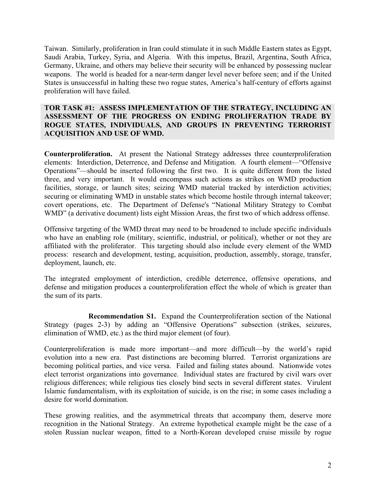Taiwan. Similarly, proliferation in Iran could stimulate it in such Middle Eastern states as Egypt, Saudi Arabia, Turkey, Syria, and Algeria. With this impetus, Brazil, Argentina, South Africa, Germany, Ukraine, and others may believe their security will be enhanced by possessing nuclear weapons. The world is headed for a near-term danger level never before seen; and if the United States is unsuccessful in halting these two rogue states, America's half-century of efforts against proliferation will have failed.

#### **TOR TASK #1: ASSESS IMPLEMENTATION OF THE STRATEGY, INCLUDING AN ASSESSMENT OF THE PROGRESS ON ENDING PROLIFERATION TRADE BY ROGUE STATES, INDIVIDUALS, AND GROUPS IN PREVENTING TERRORIST ACQUISITION AND USE OF WMD.**

**Counterproliferation.** At present the National Strategy addresses three counterproliferation elements: Interdiction, Deterrence, and Defense and Mitigation. A fourth element—"Offensive Operations"—should be inserted following the first two. It is quite different from the listed three, and very important. It would encompass such actions as strikes on WMD production facilities, storage, or launch sites; seizing WMD material tracked by interdiction activities; securing or eliminating WMD in unstable states which become hostile through internal takeover; covert operations, etc. The Department of Defense's "National Military Strategy to Combat WMD" (a derivative document) lists eight Mission Areas, the first two of which address offense.

Offensive targeting of the WMD threat may need to be broadened to include specific individuals who have an enabling role (military, scientific, industrial, or political), whether or not they are affiliated with the proliferator. This targeting should also include every element of the WMD process: research and development, testing, acquisition, production, assembly, storage, transfer, deployment, launch, etc.

The integrated employment of interdiction, credible deterrence, offensive operations, and defense and mitigation produces a counterproliferation effect the whole of which is greater than the sum of its parts.

**Recommendation S1.** Expand the Counterproliferation section of the National Strategy (pages 2-3) by adding an "Offensive Operations" subsection (strikes, seizures, elimination of WMD, etc.) as the third major element (of four).

Counterproliferation is made more important—and more difficult—by the world's rapid evolution into a new era. Past distinctions are becoming blurred. Terrorist organizations are becoming political parties, and vice versa. Failed and failing states abound. Nationwide votes elect terrorist organizations into governance. Individual states are fractured by civil wars over religious differences; while religious ties closely bind sects in several different states. Virulent Islamic fundamentalism, with its exploitation of suicide, is on the rise; in some cases including a desire for world domination.

These growing realities, and the asymmetrical threats that accompany them, deserve more recognition in the National Strategy. An extreme hypothetical example might be the case of a stolen Russian nuclear weapon, fitted to a North-Korean developed cruise missile by rogue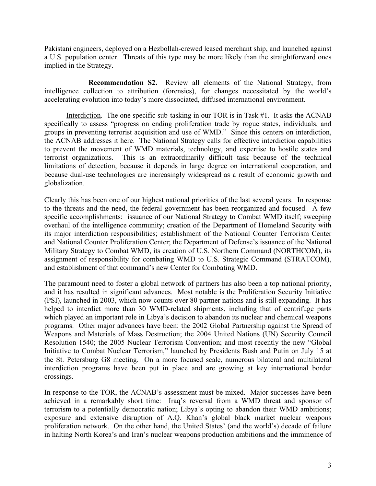Pakistani engineers, deployed on a Hezbollah-crewed leased merchant ship, and launched against a U.S. population center. Threats of this type may be more likely than the straightforward ones implied in the Strategy.

**Recommendation S2.** Review all elements of the National Strategy, from intelligence collection to attribution (forensics), for changes necessitated by the world's accelerating evolution into today's more dissociated, diffused international environment.

Interdiction. The one specific sub-tasking in our TOR is in Task #1. It asks the ACNAB specifically to assess "progress on ending proliferation trade by rogue states, individuals, and groups in preventing terrorist acquisition and use of WMD." Since this centers on interdiction, the ACNAB addresses it here. The National Strategy calls for effective interdiction capabilities to prevent the movement of WMD materials, technology, and expertise to hostile states and terrorist organizations. This is an extraordinarily difficult task because of the technical limitations of detection, because it depends in large degree on international cooperation, and because dual-use technologies are increasingly widespread as a result of economic growth and globalization.

Clearly this has been one of our highest national priorities of the last several years. In response to the threats and the need, the federal government has been reorganized and focused. A few specific accomplishments: issuance of our National Strategy to Combat WMD itself; sweeping overhaul of the intelligence community; creation of the Department of Homeland Security with its major interdiction responsibilities; establishment of the National Counter Terrorism Center and National Counter Proliferation Center; the Department of Defense's issuance of the National Military Strategy to Combat WMD, its creation of U.S. Northern Command (NORTHCOM), its assignment of responsibility for combating WMD to U.S. Strategic Command (STRATCOM), and establishment of that command's new Center for Combating WMD.

The paramount need to foster a global network of partners has also been a top national priority, and it has resulted in significant advances. Most notable is the Proliferation Security Initiative (PSI), launched in 2003, which now counts over 80 partner nations and is still expanding. It has helped to interdict more than 30 WMD-related shipments, including that of centrifuge parts which played an important role in Libya's decision to abandon its nuclear and chemical weapons programs. Other major advances have been: the 2002 Global Partnership against the Spread of Weapons and Materials of Mass Destruction; the 2004 United Nations (UN) Security Council Resolution 1540; the 2005 Nuclear Terrorism Convention; and most recently the new "Global Initiative to Combat Nuclear Terrorism," launched by Presidents Bush and Putin on July 15 at the St. Petersburg G8 meeting. On a more focused scale, numerous bilateral and multilateral interdiction programs have been put in place and are growing at key international border crossings.

In response to the TOR, the ACNAB's assessment must be mixed. Major successes have been achieved in a remarkably short time: Iraq's reversal from a WMD threat and sponsor of terrorism to a potentially democratic nation; Libya's opting to abandon their WMD ambitions; exposure and extensive disruption of A.Q. Khan's global black market nuclear weapons proliferation network. On the other hand, the United States' (and the world's) decade of failure in halting North Korea's and Iran's nuclear weapons production ambitions and the imminence of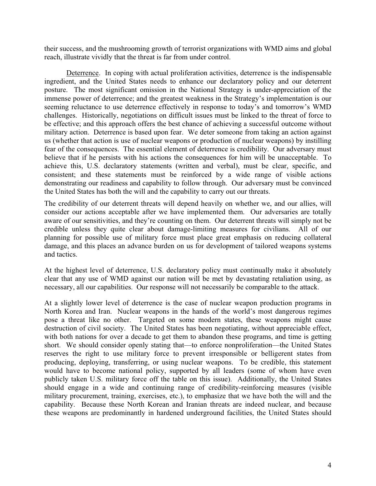their success, and the mushrooming growth of terrorist organizations with WMD aims and global reach, illustrate vividly that the threat is far from under control.

Deterrence. In coping with actual proliferation activities, deterrence is the indispensable ingredient, and the United States needs to enhance our declaratory policy and our deterrent posture. The most significant omission in the National Strategy is under-appreciation of the immense power of deterrence; and the greatest weakness in the Strategy's implementation is our seeming reluctance to use deterrence effectively in response to today's and tomorrow's WMD challenges. Historically, negotiations on difficult issues must be linked to the threat of force to be effective; and this approach offers the best chance of achieving a successful outcome without military action. Deterrence is based upon fear. We deter someone from taking an action against us (whether that action is use of nuclear weapons or production of nuclear weapons) by instilling fear of the consequences. The essential element of deterrence is credibility. Our adversary must believe that if he persists with his actions the consequences for him will be unacceptable. To achieve this, U.S. declaratory statements (written and verbal), must be clear, specific, and consistent; and these statements must be reinforced by a wide range of visible actions demonstrating our readiness and capability to follow through. Our adversary must be convinced the United States has both the will and the capability to carry out our threats.

The credibility of our deterrent threats will depend heavily on whether we, and our allies, will consider our actions acceptable after we have implemented them. Our adversaries are totally aware of our sensitivities, and they're counting on them. Our deterrent threats will simply not be credible unless they quite clear about damage-limiting measures for civilians. All of our planning for possible use of military force must place great emphasis on reducing collateral damage, and this places an advance burden on us for development of tailored weapons systems and tactics.

At the highest level of deterrence, U.S. declaratory policy must continually make it absolutely clear that any use of WMD against our nation will be met by devastating retaliation using, as necessary, all our capabilities. Our response will not necessarily be comparable to the attack.

At a slightly lower level of deterrence is the case of nuclear weapon production programs in North Korea and Iran. Nuclear weapons in the hands of the world's most dangerous regimes pose a threat like no other. Targeted on some modern states, these weapons might cause destruction of civil society. The United States has been negotiating, without appreciable effect, with both nations for over a decade to get them to abandon these programs, and time is getting short. We should consider openly stating that—to enforce nonproliferation—the United States reserves the right to use military force to prevent irresponsible or belligerent states from producing, deploying, transferring, or using nuclear weapons. To be credible, this statement would have to become national policy, supported by all leaders (some of whom have even publicly taken U.S. military force off the table on this issue). Additionally, the United States should engage in a wide and continuing range of credibility-reinforcing measures (visible military procurement, training, exercises, etc.), to emphasize that we have both the will and the capability. Because these North Korean and Iranian threats are indeed nuclear, and because these weapons are predominantly in hardened underground facilities, the United States should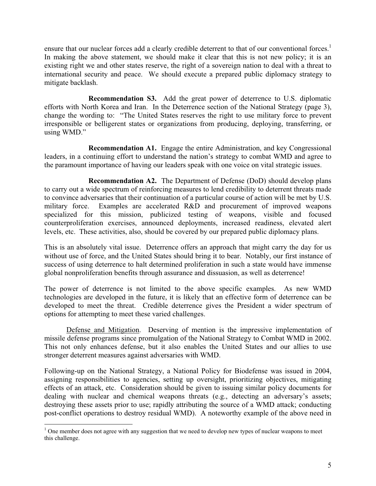ensure that our nuclear forces add a clearly credible deterrent to that of our conventional forces.<sup>1</sup> In making the above statement, we should make it clear that this is not new policy; it is an existing right we and other states reserve, the right of a sovereign nation to deal with a threat to international security and peace. We should execute a prepared public diplomacy strategy to mitigate backlash.

**Recommendation S3.** Add the great power of deterrence to U.S. diplomatic efforts with North Korea and Iran. In the Deterrence section of the National Strategy (page 3), change the wording to: "The United States reserves the right to use military force to prevent irresponsible or belligerent states or organizations from producing, deploying, transferring, or using WMD."

**Recommendation A1.** Engage the entire Administration, and key Congressional leaders, in a continuing effort to understand the nation's strategy to combat WMD and agree to the paramount importance of having our leaders speak with one voice on vital strategic issues.

**Recommendation A2.** The Department of Defense (DoD) should develop plans to carry out a wide spectrum of reinforcing measures to lend credibility to deterrent threats made to convince adversaries that their continuation of a particular course of action will be met by U.S. military force. Examples are accelerated R&D and procurement of improved weapons specialized for this mission, publicized testing of weapons, visible and focused counterproliferation exercises, announced deployments, increased readiness, elevated alert levels, etc. These activities, also, should be covered by our prepared public diplomacy plans.

This is an absolutely vital issue. Deterrence offers an approach that might carry the day for us without use of force, and the United States should bring it to bear. Notably, our first instance of success of using deterrence to halt determined proliferation in such a state would have immense global nonproliferation benefits through assurance and dissuasion, as well as deterrence!

The power of deterrence is not limited to the above specific examples. As new WMD technologies are developed in the future, it is likely that an effective form of deterrence can be developed to meet the threat. Credible deterrence gives the President a wider spectrum of options for attempting to meet these varied challenges.

Defense and Mitigation. Deserving of mention is the impressive implementation of missile defense programs since promulgation of the National Strategy to Combat WMD in 2002. This not only enhances defense, but it also enables the United States and our allies to use stronger deterrent measures against adversaries with WMD.

Following-up on the National Strategy, a National Policy for Biodefense was issued in 2004, assigning responsibilities to agencies, setting up oversight, prioritizing objectives, mitigating effects of an attack, etc. Consideration should be given to issuing similar policy documents for dealing with nuclear and chemical weapons threats (e.g., detecting an adversary's assets; destroying these assets prior to use; rapidly attributing the source of a WMD attack; conducting post-conflict operations to destroy residual WMD). A noteworthy example of the above need in

 $1$  One member does not agree with any suggestion that we need to develop new types of nuclear weapons to meet this challenge.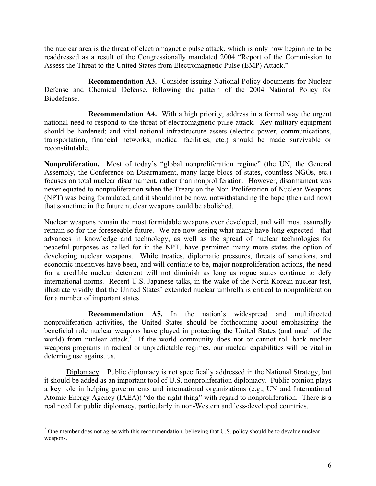the nuclear area is the threat of electromagnetic pulse attack, which is only now beginning to be readdressed as a result of the Congressionally mandated 2004 "Report of the Commission to Assess the Threat to the United States from Electromagnetic Pulse (EMP) Attack."

**Recommendation A3.** Consider issuing National Policy documents for Nuclear Defense and Chemical Defense, following the pattern of the 2004 National Policy for Biodefense.

**Recommendation A4.** With a high priority, address in a formal way the urgent national need to respond to the threat of electromagnetic pulse attack. Key military equipment should be hardened; and vital national infrastructure assets (electric power, communications, transportation, financial networks, medical facilities, etc.) should be made survivable or reconstitutable.

**Nonproliferation.** Most of today's "global nonproliferation regime" (the UN, the General Assembly, the Conference on Disarmament, many large blocs of states, countless NGOs, etc.) focuses on total nuclear disarmament, rather than nonproliferation. However, disarmament was never equated to nonproliferation when the Treaty on the Non-Proliferation of Nuclear Weapons (NPT) was being formulated, and it should not be now, notwithstanding the hope (then and now) that sometime in the future nuclear weapons could be abolished.

Nuclear weapons remain the most formidable weapons ever developed, and will most assuredly remain so for the foreseeable future. We are now seeing what many have long expected—that advances in knowledge and technology, as well as the spread of nuclear technologies for peaceful purposes as called for in the NPT, have permitted many more states the option of developing nuclear weapons. While treaties, diplomatic pressures, threats of sanctions, and economic incentives have been, and will continue to be, major nonproliferation actions, the need for a credible nuclear deterrent will not diminish as long as rogue states continue to defy international norms. Recent U.S.-Japanese talks, in the wake of the North Korean nuclear test, illustrate vividly that the United States' extended nuclear umbrella is critical to nonproliferation for a number of important states.

**Recommendation A5.** In the nation's widespread and multifaceted nonproliferation activities, the United States should be forthcoming about emphasizing the beneficial role nuclear weapons have played in protecting the United States (and much of the world) from nuclear attack.<sup>2</sup> If the world community does not or cannot roll back nuclear weapons programs in radical or unpredictable regimes, our nuclear capabilities will be vital in deterring use against us.

 Diplomacy. Public diplomacy is not specifically addressed in the National Strategy, but it should be added as an important tool of U.S. nonproliferation diplomacy. Public opinion plays a key role in helping governments and international organizations (e.g., UN and International Atomic Energy Agency (IAEA)) "do the right thing" with regard to nonproliferation. There is a real need for public diplomacy, particularly in non-Western and less-developed countries.

 $2^2$  One member does not agree with this recommendation, believing that U.S. policy should be to devalue nuclear weapons.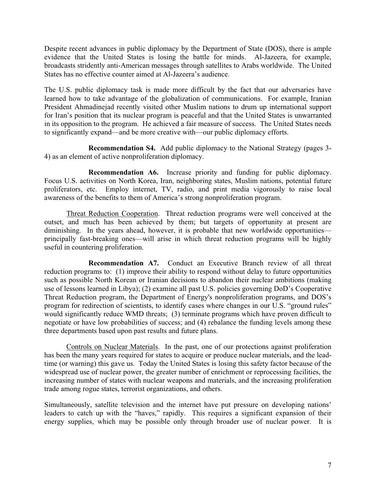Despite recent advances in public diplomacy by the Department of State (DOS), there is ample evidence that the United States is losing the battle for minds. Al-Jazeera, for example, broadcasts stridently anti-American messages through satellites to Arabs worldwide. The United States has no effective counter aimed at Al-Jazeera's audience.

The U.S. public diplomacy task is made more difficult by the fact that our adversaries have learned how to take advantage of the globalization of communications. For example, Iranian President Ahmadinejad recently visited other Muslim nations to drum up international support for Iran's position that its nuclear program is peaceful and that the United States is unwarranted in its opposition to the program. He achieved a fair measure of success. The United States needs to significantly expand—and be more creative with—our public diplomacy efforts.

**Recommendation S4.** Add public diplomacy to the National Strategy (pages 3- 4) as an element of active nonproliferation diplomacy.

**Recommendation A6.** Increase priority and funding for public diplomacy. Focus U.S. activities on North Korea, Iran, neighboring states, Muslim nations, potential future proliferators, etc. Employ internet, TV, radio, and print media vigorously to raise local awareness of the benefits to them of America's strong nonproliferation program.

 Threat Reduction Cooperation. Threat reduction programs were well conceived at the outset, and much has been achieved by them; but targets of opportunity at present are diminishing. In the years ahead, however, it is probable that new worldwide opportunities principally fast-breaking ones—will arise in which threat reduction programs will be highly useful in countering proliferation.

**Recommendation A7.** Conduct an Executive Branch review of all threat reduction programs to: (1) improve their ability to respond without delay to future opportunities such as possible North Korean or Iranian decisions to abandon their nuclear ambitions (making use of lessons learned in Libya); (2) examine all past U.S. policies governing DoD's Cooperative Threat Reduction program, the Department of Energy's nonproliferation programs, and DOS's program for redirection of scientists, to identify cases where changes in our U.S. "ground rules" would significantly reduce WMD threats; (3) terminate programs which have proven difficult to negotiate or have low probabilities of success; and (4) rebalance the funding levels among these three departments based upon past results and future plans.

Controls on Nuclear Materials. In the past, one of our protections against proliferation has been the many years required for states to acquire or produce nuclear materials, and the leadtime (or warning) this gave us. Today the United States is losing this safety factor because of the widespread use of nuclear power, the greater number of enrichment or reprocessing facilities, the increasing number of states with nuclear weapons and materials, and the increasing proliferation trade among rogue states, terrorist organizations, and others.

Simultaneously, satellite television and the internet have put pressure on developing nations' leaders to catch up with the "haves," rapidly. This requires a significant expansion of their energy supplies, which may be possible only through broader use of nuclear power. It is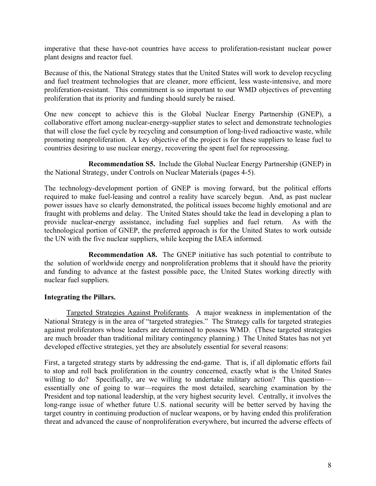imperative that these have-not countries have access to proliferation-resistant nuclear power plant designs and reactor fuel.

Because of this, the National Strategy states that the United States will work to develop recycling and fuel treatment technologies that are cleaner, more efficient, less waste-intensive, and more proliferation-resistant. This commitment is so important to our WMD objectives of preventing proliferation that its priority and funding should surely be raised.

One new concept to achieve this is the Global Nuclear Energy Partnership (GNEP), a collaborative effort among nuclear-energy-supplier states to select and demonstrate technologies that will close the fuel cycle by recycling and consumption of long-lived radioactive waste, while promoting nonproliferation. A key objective of the project is for these suppliers to lease fuel to countries desiring to use nuclear energy, recovering the spent fuel for reprocessing.

**Recommendation S5.** Include the Global Nuclear Energy Partnership (GNEP) in the National Strategy, under Controls on Nuclear Materials (pages 4-5).

The technology-development portion of GNEP is moving forward, but the political efforts required to make fuel-leasing and control a reality have scarcely begun. And, as past nuclear power issues have so clearly demonstrated, the political issues become highly emotional and are fraught with problems and delay. The United States should take the lead in developing a plan to provide nuclear-energy assistance, including fuel supplies and fuel return. As with the technological portion of GNEP, the preferred approach is for the United States to work outside the UN with the five nuclear suppliers, while keeping the IAEA informed.

**Recommendation A8.** The GNEP initiative has such potential to contribute to the solution of worldwide energy and nonproliferation problems that it should have the priority and funding to advance at the fastest possible pace, the United States working directly with nuclear fuel suppliers.

#### **Integrating the Pillars.**

Targeted Strategies Against Proliferants. A major weakness in implementation of the National Strategy is in the area of "targeted strategies." The Strategy calls for targeted strategies against proliferators whose leaders are determined to possess WMD. (These targeted strategies are much broader than traditional military contingency planning.) The United States has not yet developed effective strategies, yet they are absolutely essential for several reasons:

First, a targeted strategy starts by addressing the end-game. That is, if all diplomatic efforts fail to stop and roll back proliferation in the country concerned, exactly what is the United States willing to do? Specifically, are we willing to undertake military action? This question essentially one of going to war—requires the most detailed, searching examination by the President and top national leadership, at the very highest security level. Centrally, it involves the long-range issue of whether future U.S. national security will be better served by having the target country in continuing production of nuclear weapons, or by having ended this proliferation threat and advanced the cause of nonproliferation everywhere, but incurred the adverse effects of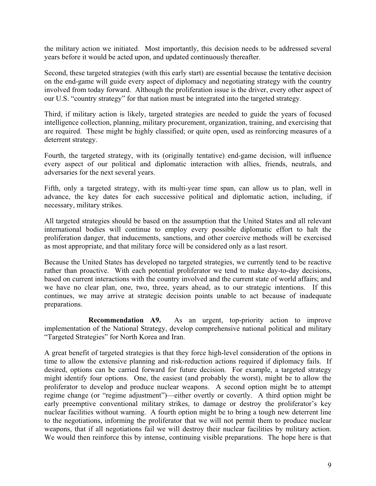the military action we initiated. Most importantly, this decision needs to be addressed several years before it would be acted upon, and updated continuously thereafter.

Second, these targeted strategies (with this early start) are essential because the tentative decision on the end-game will guide every aspect of diplomacy and negotiating strategy with the country involved from today forward. Although the proliferation issue is the driver, every other aspect of our U.S. "country strategy" for that nation must be integrated into the targeted strategy.

Third, if military action is likely, targeted strategies are needed to guide the years of focused intelligence collection, planning, military procurement, organization, training, and exercising that are required. These might be highly classified; or quite open, used as reinforcing measures of a deterrent strategy.

Fourth, the targeted strategy, with its (originally tentative) end-game decision, will influence every aspect of our political and diplomatic interaction with allies, friends, neutrals, and adversaries for the next several years.

Fifth, only a targeted strategy, with its multi-year time span, can allow us to plan, well in advance, the key dates for each successive political and diplomatic action, including, if necessary, military strikes.

All targeted strategies should be based on the assumption that the United States and all relevant international bodies will continue to employ every possible diplomatic effort to halt the proliferation danger, that inducements, sanctions, and other coercive methods will be exercised as most appropriate, and that military force will be considered only as a last resort.

Because the United States has developed no targeted strategies, we currently tend to be reactive rather than proactive. With each potential proliferator we tend to make day-to-day decisions, based on current interactions with the country involved and the current state of world affairs; and we have no clear plan, one, two, three, years ahead, as to our strategic intentions. If this continues, we may arrive at strategic decision points unable to act because of inadequate preparations.

**Recommendation A9.** As an urgent, top-priority action to improve implementation of the National Strategy, develop comprehensive national political and military "Targeted Strategies" for North Korea and Iran.

A great benefit of targeted strategies is that they force high-level consideration of the options in time to allow the extensive planning and risk-reduction actions required if diplomacy fails. If desired, options can be carried forward for future decision. For example, a targeted strategy might identify four options. One, the easiest (and probably the worst), might be to allow the proliferator to develop and produce nuclear weapons. A second option might be to attempt regime change (or "regime adjustment")—either overtly or covertly. A third option might be early preemptive conventional military strikes, to damage or destroy the proliferator's key nuclear facilities without warning. A fourth option might be to bring a tough new deterrent line to the negotiations, informing the proliferator that we will not permit them to produce nuclear weapons, that if all negotiations fail we will destroy their nuclear facilities by military action. We would then reinforce this by intense, continuing visible preparations. The hope here is that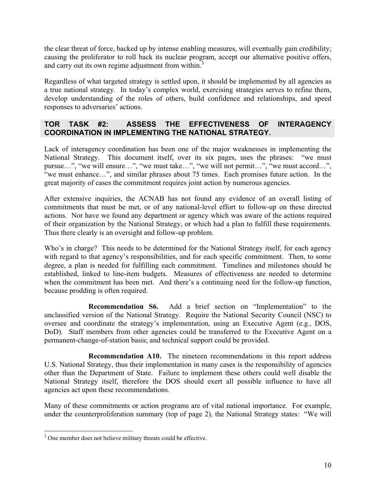the clear threat of force, backed up by intense enabling measures, will eventually gain credibility; causing the proliferator to roll back its nuclear program, accept our alternative positive offers, and carry out its own regime adjustment from within.<sup>3</sup>

Regardless of what targeted strategy is settled upon, it should be implemented by all agencies as a true national strategy. In today's complex world, exercising strategies serves to refine them, develop understanding of the roles of others, build confidence and relationships, and speed responses to adversaries' actions.

#### **TOR TASK #2: ASSESS THE EFFECTIVENESS OF INTERAGENCY COORDINATION IN IMPLEMENTING THE NATIONAL STRATEGY.**

Lack of interagency coordination has been one of the major weaknesses in implementing the National Strategy. This document itself, over its six pages, uses the phrases: "we must pursue…", "we will ensure…", "we must take…", "we will not permit…", "we must accord…", "we must enhance…", and similar phrases about 75 times. Each promises future action. In the great majority of cases the commitment requires joint action by numerous agencies.

After extensive inquiries, the ACNAB has not found any evidence of an overall listing of commitments that must be met, or of any national-level effort to follow-up on these directed actions. Nor have we found any department or agency which was aware of the actions required of their organization by the National Strategy, or which had a plan to fulfill these requirements. Thus there clearly is an oversight and follow-up problem.

Who's in charge? This needs to be determined for the National Strategy itself, for each agency with regard to that agency's responsibilities, and for each specific commitment. Then, to some degree, a plan is needed for fulfilling each commitment. Timelines and milestones should be established, linked to line-item budgets. Measures of effectiveness are needed to determine when the commitment has been met. And there's a continuing need for the follow-up function, because prodding is often required.

**Recommendation S6.** Add a brief section on "Implementation" to the unclassified version of the National Strategy. Require the National Security Council (NSC) to oversee and coordinate the strategy's implementation, using an Executive Agent (e.g., DOS, DoD). Staff members from other agencies could be transferred to the Executive Agent on a permanent-change-of-station basis; and technical support could be provided.

**Recommendation A10.** The nineteen recommendations in this report address U.S. National Strategy, thus their implementation in many cases is the responsibility of agencies other than the Department of State. Failure to implement these others could well disable the National Strategy itself, therefore the DOS should exert all possible influence to have all agencies act upon these recommendations.

Many of these commitments or action programs are of vital national importance. For example, under the counterproliferation summary (top of page 2), the National Strategy states: "We will

<sup>&</sup>lt;sup>3</sup> One member does not believe military threats could be effective.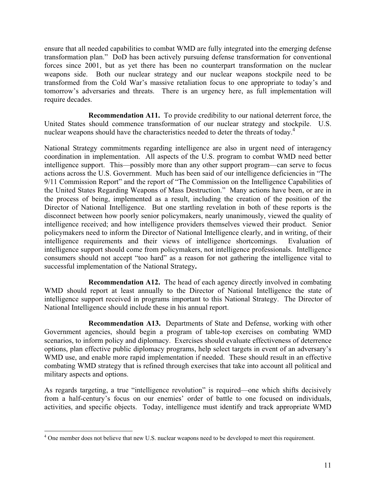ensure that all needed capabilities to combat WMD are fully integrated into the emerging defense transformation plan." DoD has been actively pursuing defense transformation for conventional forces since 2001, but as yet there has been no counterpart transformation on the nuclear weapons side. Both our nuclear strategy and our nuclear weapons stockpile need to be transformed from the Cold War's massive retaliation focus to one appropriate to today's and tomorrow's adversaries and threats. There is an urgency here, as full implementation will require decades.

**Recommendation A11.** To provide credibility to our national deterrent force, the United States should commence transformation of our nuclear strategy and stockpile. U.S. nuclear weapons should have the characteristics needed to deter the threats of today.<sup>4</sup>

National Strategy commitments regarding intelligence are also in urgent need of interagency coordination in implementation. All aspects of the U.S. program to combat WMD need better intelligence support. This—possibly more than any other support program—can serve to focus actions across the U.S. Government. Much has been said of our intelligence deficiencies in "The 9/11 Commission Report" and the report of "The Commission on the Intelligence Capabilities of the United States Regarding Weapons of Mass Destruction." Many actions have been, or are in the process of being, implemented as a result, including the creation of the position of the Director of National Intelligence. But one startling revelation in both of these reports is the disconnect between how poorly senior policymakers, nearly unanimously, viewed the quality of intelligence received; and how intelligence providers themselves viewed their product. Senior policymakers need to inform the Director of National Intelligence clearly, and in writing, of their intelligence requirements and their views of intelligence shortcomings. Evaluation of intelligence support should come from policymakers, not intelligence professionals. Intelligence consumers should not accept "too hard" as a reason for not gathering the intelligence vital to successful implementation of the National Strategy**.**

**Recommendation A12.** The head of each agency directly involved in combating WMD should report at least annually to the Director of National Intelligence the state of intelligence support received in programs important to this National Strategy. The Director of National Intelligence should include these in his annual report.

**Recommendation A13.** Departments of State and Defense, working with other Government agencies, should begin a program of table-top exercises on combating WMD scenarios, to inform policy and diplomacy. Exercises should evaluate effectiveness of deterrence options, plan effective public diplomacy programs, help select targets in event of an adversary's WMD use, and enable more rapid implementation if needed. These should result in an effective combating WMD strategy that is refined through exercises that take into account all political and military aspects and options.

As regards targeting, a true "intelligence revolution" is required—one which shifts decisively from a half-century's focus on our enemies' order of battle to one focused on individuals, activities, and specific objects. Today, intelligence must identify and track appropriate WMD

<sup>&</sup>lt;sup>4</sup> One member does not believe that new U.S. nuclear weapons need to be developed to meet this requirement.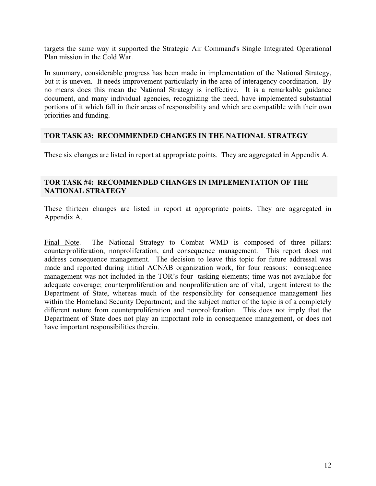targets the same way it supported the Strategic Air Command's Single Integrated Operational Plan mission in the Cold War.

In summary, considerable progress has been made in implementation of the National Strategy, but it is uneven. It needs improvement particularly in the area of interagency coordination. By no means does this mean the National Strategy is ineffective. It is a remarkable guidance document, and many individual agencies, recognizing the need, have implemented substantial portions of it which fall in their areas of responsibility and which are compatible with their own priorities and funding.

#### **TOR TASK #3: RECOMMENDED CHANGES IN THE NATIONAL STRATEGY**

These six changes are listed in report at appropriate points. They are aggregated in Appendix A.

#### **TOR TASK #4: RECOMMENDED CHANGES IN IMPLEMENTATION OF THE NATIONAL STRATEGY**

These thirteen changes are listed in report at appropriate points. They are aggregated in Appendix A.

Final Note. The National Strategy to Combat WMD is composed of three pillars: counterproliferation, nonproliferation, and consequence management. This report does not address consequence management. The decision to leave this topic for future addressal was made and reported during initial ACNAB organization work, for four reasons: consequence management was not included in the TOR's four tasking elements; time was not available for adequate coverage; counterproliferation and nonproliferation are of vital, urgent interest to the Department of State, whereas much of the responsibility for consequence management lies within the Homeland Security Department; and the subject matter of the topic is of a completely different nature from counterproliferation and nonproliferation. This does not imply that the Department of State does not play an important role in consequence management, or does not have important responsibilities therein.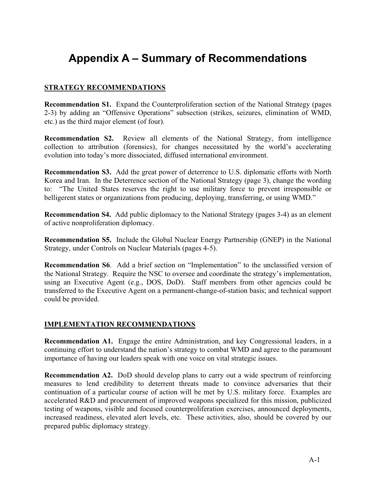# **Appendix A – Summary of Recommendations**

#### **STRATEGY RECOMMENDATIONS**

**Recommendation S1.** Expand the Counterproliferation section of the National Strategy (pages 2-3) by adding an "Offensive Operations" subsection (strikes, seizures, elimination of WMD, etc.) as the third major element (of four).

**Recommendation S2.** Review all elements of the National Strategy, from intelligence collection to attribution (forensics), for changes necessitated by the world's accelerating evolution into today's more dissociated, diffused international environment.

**Recommendation S3.** Add the great power of deterrence to U.S. diplomatic efforts with North Korea and Iran. In the Deterrence section of the National Strategy (page 3), change the wording to: "The United States reserves the right to use military force to prevent irresponsible or belligerent states or organizations from producing, deploying, transferring, or using WMD."

**Recommendation S4.** Add public diplomacy to the National Strategy (pages 3-4) as an element of active nonproliferation diplomacy.

**Recommendation S5.** Include the Global Nuclear Energy Partnership (GNEP) in the National Strategy, under Controls on Nuclear Materials (pages 4-5).

**Recommendation S6**. Add a brief section on "Implementation" to the unclassified version of the National Strategy. Require the NSC to oversee and coordinate the strategy's implementation, using an Executive Agent (e.g., DOS, DoD). Staff members from other agencies could be transferred to the Executive Agent on a permanent-change-of-station basis; and technical support could be provided.

#### **IMPLEMENTATION RECOMMENDATIONS**

**Recommendation A1.** Engage the entire Administration, and key Congressional leaders, in a continuing effort to understand the nation's strategy to combat WMD and agree to the paramount importance of having our leaders speak with one voice on vital strategic issues.

**Recommendation A2.** DoD should develop plans to carry out a wide spectrum of reinforcing measures to lend credibility to deterrent threats made to convince adversaries that their continuation of a particular course of action will be met by U.S. military force. Examples are accelerated R&D and procurement of improved weapons specialized for this mission, publicized testing of weapons, visible and focused counterproliferation exercises, announced deployments, increased readiness, elevated alert levels, etc. These activities, also, should be covered by our prepared public diplomacy strategy.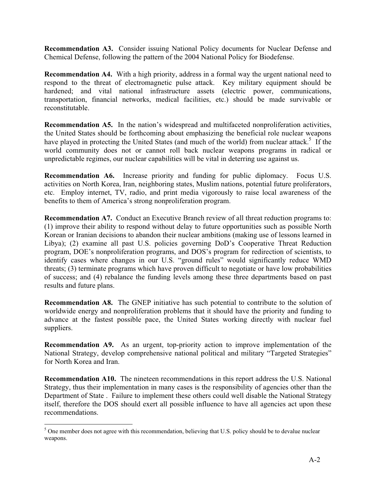**Recommendation A3.** Consider issuing National Policy documents for Nuclear Defense and Chemical Defense, following the pattern of the 2004 National Policy for Biodefense.

**Recommendation A4.** With a high priority, address in a formal way the urgent national need to respond to the threat of electromagnetic pulse attack. Key military equipment should be hardened; and vital national infrastructure assets (electric power, communications, transportation, financial networks, medical facilities, etc.) should be made survivable or reconstitutable.

**Recommendation A5.** In the nation's widespread and multifaceted nonproliferation activities, the United States should be forthcoming about emphasizing the beneficial role nuclear weapons have played in protecting the United States (and much of the world) from nuclear attack.<sup>5</sup> If the world community does not or cannot roll back nuclear weapons programs in radical or unpredictable regimes, our nuclear capabilities will be vital in deterring use against us.

**Recommendation A6.** Increase priority and funding for public diplomacy. Focus U.S. activities on North Korea, Iran, neighboring states, Muslim nations, potential future proliferators, etc. Employ internet, TV, radio, and print media vigorously to raise local awareness of the benefits to them of America's strong nonproliferation program.

**Recommendation A7.** Conduct an Executive Branch review of all threat reduction programs to: (1) improve their ability to respond without delay to future opportunities such as possible North Korean or Iranian decisions to abandon their nuclear ambitions (making use of lessons learned in Libya); (2) examine all past U.S. policies governing DoD's Cooperative Threat Reduction program, DOE's nonproliferation programs, and DOS's program for redirection of scientists, to identify cases where changes in our U.S. "ground rules" would significantly reduce WMD threats; (3) terminate programs which have proven difficult to negotiate or have low probabilities of success; and (4) rebalance the funding levels among these three departments based on past results and future plans.

**Recommendation A8.** The GNEP initiative has such potential to contribute to the solution of worldwide energy and nonproliferation problems that it should have the priority and funding to advance at the fastest possible pace, the United States working directly with nuclear fuel suppliers.

**Recommendation A9.** As an urgent, top-priority action to improve implementation of the National Strategy, develop comprehensive national political and military "Targeted Strategies" for North Korea and Iran.

**Recommendation A10.** The nineteen recommendations in this report address the U.S. National Strategy, thus their implementation in many cases is the responsibility of agencies other than the Department of State . Failure to implement these others could well disable the National Strategy itself, therefore the DOS should exert all possible influence to have all agencies act upon these recommendations.

<sup>&</sup>lt;sup>5</sup> One member does not agree with this recommendation, believing that U.S. policy should be to devalue nuclear weapons.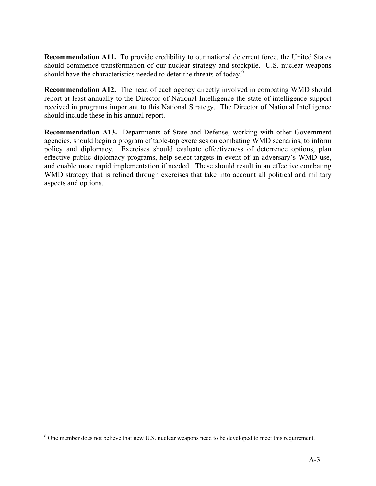**Recommendation A11.** To provide credibility to our national deterrent force, the United States should commence transformation of our nuclear strategy and stockpile. U.S. nuclear weapons should have the characteristics needed to deter the threats of today.<sup>6</sup>

**Recommendation A12.** The head of each agency directly involved in combating WMD should report at least annually to the Director of National Intelligence the state of intelligence support received in programs important to this National Strategy. The Director of National Intelligence should include these in his annual report.

**Recommendation A13.** Departments of State and Defense, working with other Government agencies, should begin a program of table-top exercises on combating WMD scenarios, to inform policy and diplomacy. Exercises should evaluate effectiveness of deterrence options, plan effective public diplomacy programs, help select targets in event of an adversary's WMD use, and enable more rapid implementation if needed. These should result in an effective combating WMD strategy that is refined through exercises that take into account all political and military aspects and options.

<sup>&</sup>lt;sup>6</sup> One member does not believe that new U.S. nuclear weapons need to be developed to meet this requirement.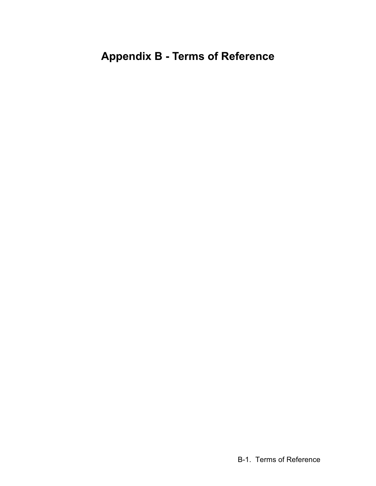# **Appendix B - Terms of Reference**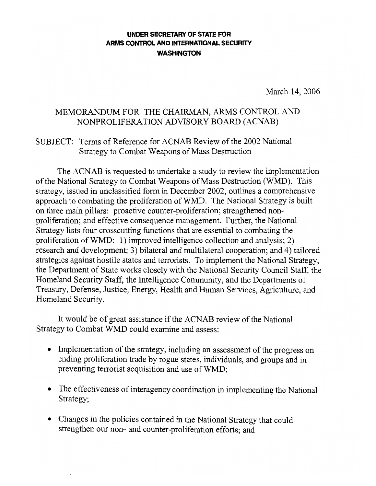#### **UNDER SECRETARY OF STATE FOR** ARMS CONTROL AND INTERNATIONAL SECURITY **WASHINGTON**

March 14, 2006

#### MEMORANDUM FOR THE CHAIRMAN, ARMS CONTROL AND NONPROLIFERATION ADVISORY BOARD (ACNAB)

#### SUBJECT: Terms of Reference for ACNAB Review of the 2002 National Strategy to Combat Weapons of Mass Destruction

The ACNAB is requested to undertake a study to review the implementation of the National Strategy to Combat Weapons of Mass Destruction (WMD). This strategy, issued in unclassified form in December 2002, outlines a comprehensive approach to combating the proliferation of WMD. The National Strategy is built on three main pillars: proactive counter-proliferation; strengthened nonproliferation; and effective consequence management. Further, the National Strategy lists four crosscutting functions that are essential to combating the proliferation of WMD: 1) improved intelligence collection and analysis; 2) research and development; 3) bilateral and multilateral cooperation; and 4) tailored strategies against hostile states and terrorists. To implement the National Strategy, the Department of State works closely with the National Security Council Staff, the Homeland Security Staff, the Intelligence Community, and the Departments of Treasury, Defense, Justice, Energy, Health and Human Services, Agriculture, and Homeland Security.

It would be of great assistance if the ACNAB review of the National Strategy to Combat WMD could examine and assess:

- Implementation of the strategy, including an assessment of the progress on ending proliferation trade by rogue states, individuals, and groups and in preventing terrorist acquisition and use of WMD;
- The effectiveness of interagency coordination in implementing the National Strategy;
- Changes in the policies contained in the National Strategy that could strengthen our non- and counter-proliferation efforts; and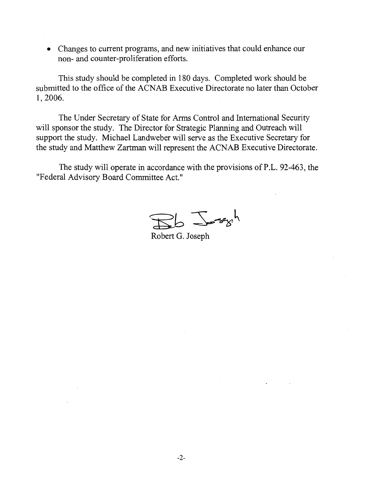• Changes to current programs, and new initiatives that could enhance our non- and counter-proliferation efforts.

This study should be completed in 180 days. Completed work should be submitted to the office of the ACNAB Executive Directorate no later than October 1, 2006.

The Under Secretary of State for Arms Control and International Security will sponsor the study. The Director for Strategic Planning and Outreach will support the study. Michael Landweber will serve as the Executive Secretary for the study and Matthew Zartman will represent the ACNAB Executive Directorate.

The study will operate in accordance with the provisions of P.L. 92-463, the "Federal Advisory Board Committee Act."

 $\sqrt{2\pi}$ 

Robert G. Joseph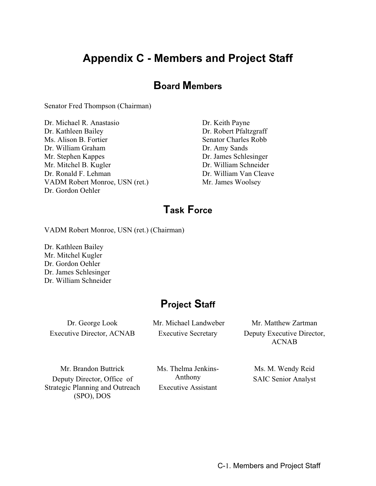# **Appendix C - Members and Project Staff**

### **Board Members**

Senator Fred Thompson (Chairman)

Dr. Michael R. Anastasio Dr. Keith Payne Dr. Kathleen Bailey Dr. Robert Pfaltzgraff Ms. Alison B. Fortier Senator Charles Robb Dr. William Graham Dr. Amy Sands Mr. Stephen Kappes Dr. James Schlesinger Mr. Mitchel B. Kugler Dr. William Schneider Dr. Ronald F. Lehman Dr. William Van Cleave VADM Robert Monroe, USN (ret.) Mr. James Woolsey Dr. Gordon Oehler

### **Task Force**

VADM Robert Monroe, USN (ret.) (Chairman)

Dr. Kathleen Bailey Mr. Mitchel Kugler Dr. Gordon Oehler Dr. James Schlesinger Dr. William Schneider

### **Project Staff**

Dr. George Look Executive Director, ACNAB  Mr. Michael Landweber Executive Secretary

Mr. Matthew Zartman Deputy Executive Director, ACNAB

Mr. Brandon Buttrick Deputy Director, Office of Strategic Planning and Outreach (SPO), DOS

Ms. Thelma Jenkins-Anthony Executive Assistant

Ms. M. Wendy Reid SAIC Senior Analyst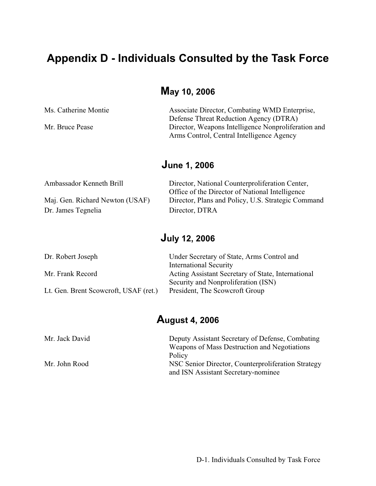# **Appendix D - Individuals Consulted by the Task Force**

# **May 10, 2006**

| Ms. Catherine Montie | Associate Director, Combating WMD Enterprise,       |
|----------------------|-----------------------------------------------------|
|                      | Defense Threat Reduction Agency (DTRA)              |
| Mr. Bruce Pease      | Director, Weapons Intelligence Nonproliferation and |
|                      | Arms Control, Central Intelligence Agency           |
|                      |                                                     |

# **June 1, 2006**

| Ambassador Kenneth Brill        | Director, National Counterproliferation Center,    |
|---------------------------------|----------------------------------------------------|
|                                 | Office of the Director of National Intelligence    |
| Maj. Gen. Richard Newton (USAF) | Director, Plans and Policy, U.S. Strategic Command |
| Dr. James Tegnelia              | Director, DTRA                                     |

# **July 12, 2006**

| Dr. Robert Joseph                     | Under Secretary of State, Arms Control and         |
|---------------------------------------|----------------------------------------------------|
|                                       | <b>International Security</b>                      |
| Mr. Frank Record                      | Acting Assistant Secretary of State, International |
|                                       | Security and Nonproliferation (ISN)                |
| Lt. Gen. Brent Scowcroft, USAF (ret.) | President, The Scowcroft Group                     |

### **August 4, 2006**

| Mr. Jack David | Deputy Assistant Secretary of Defense, Combating   |
|----------------|----------------------------------------------------|
|                | Weapons of Mass Destruction and Negotiations       |
|                | Policy                                             |
| Mr. John Rood  | NSC Senior Director, Counterproliferation Strategy |
|                | and ISN Assistant Secretary-nominee                |